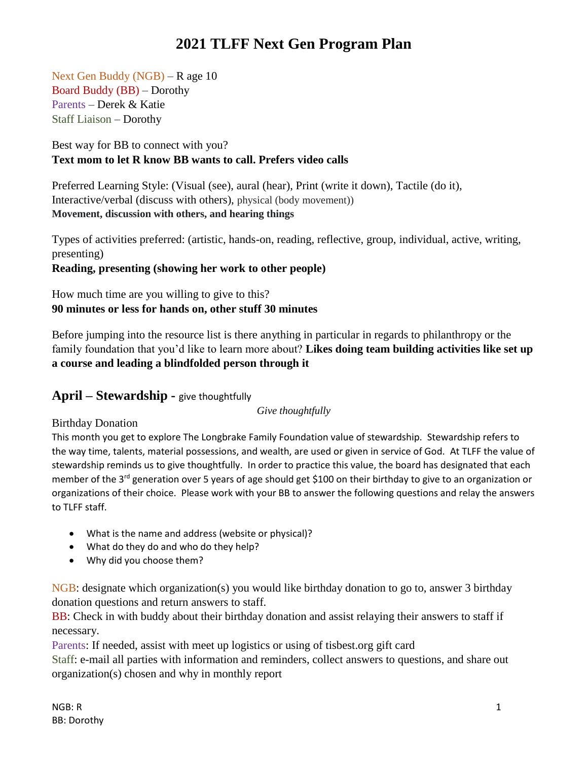Next Gen Buddy (NGB) – R age 10 Board Buddy (BB) – Dorothy Parents – Derek & Katie Staff Liaison – Dorothy

Best way for BB to connect with you? **Text mom to let R know BB wants to call. Prefers video calls**

Preferred Learning Style: (Visual (see), aural (hear), Print (write it down), Tactile (do it), Interactive/verbal (discuss with others), physical (body movement)) **Movement, discussion with others, and hearing things**

Types of activities preferred: (artistic, hands-on, reading, reflective, group, individual, active, writing, presenting) **Reading, presenting (showing her work to other people)**

### How much time are you willing to give to this? **90 minutes or less for hands on, other stuff 30 minutes**

Before jumping into the resource list is there anything in particular in regards to philanthropy or the family foundation that you'd like to learn more about? **Likes doing team building activities like set up a course and leading a blindfolded person through it**

## **April – Stewardship -** give thoughtfully

*Give thoughtfully*

### Birthday Donation

This month you get to explore The Longbrake Family Foundation value of stewardship. Stewardship refers to the way time, talents, material possessions, and wealth, are used or given in service of God. At TLFF the value of stewardship reminds us to give thoughtfully. In order to practice this value, the board has designated that each member of the 3<sup>rd</sup> generation over 5 years of age should get \$100 on their birthday to give to an organization or organizations of their choice. Please work with your BB to answer the following questions and relay the answers to TLFF staff.

- What is the name and address (website or physical)?
- What do they do and who do they help?
- Why did you choose them?

NGB: designate which organization(s) you would like birthday donation to go to, answer 3 birthday donation questions and return answers to staff.

BB: Check in with buddy about their birthday donation and assist relaying their answers to staff if necessary.

Parents: If needed, assist with meet up logistics or using of tisbest.org gift card

Staff: e-mail all parties with information and reminders, collect answers to questions, and share out organization(s) chosen and why in monthly report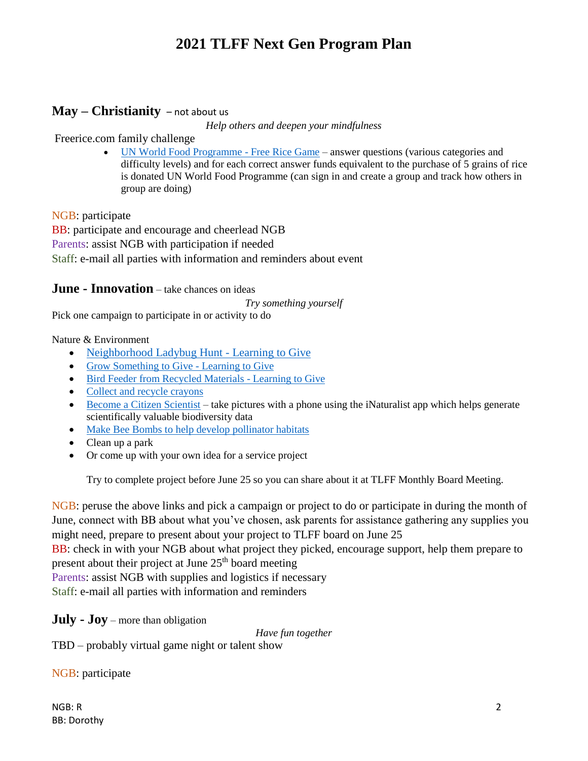## **May – Christianity** – not about us

*Help others and deepen your mindfulness*

Freerice.com family challenge

[UN World Food Programme -](http://www.freerice.com/) Free Rice Game – answer questions (various categories and difficulty levels) and for each correct answer funds equivalent to the purchase of 5 grains of rice is donated UN World Food Programme (can sign in and create a group and track how others in group are doing)

NGB: participate

BB: participate and encourage and cheerlead NGB Parents: assist NGB with participation if needed Staff: e-mail all parties with information and reminders about event

#### **June - Innovation** – take chances on ideas

*Try something yourself*

Pick one campaign to participate in or activity to do

#### Nature & Environment

- [Neighborhood Ladybug Hunt -](https://www.learningtogive.org/resources/neighborhood-ladybug-hunt) Learning to Give
- [Grow Something to Give -](https://www.learningtogive.org/resources/grow-something-give) Learning to Give
- [Bird Feeder from Recycled Materials -](https://www.learningtogive.org/resources/bird-feeder-recycled-materials) Learning to Give
- [Collect and recycle crayons](https://crayoncollection.org/programs/)
- [Become a Citizen Scientist](https://www.projectgivingkids.org/activities/become-a-citizen-scientist/) take pictures with a phone using the iNaturalist app which helps generate scientifically valuable biodiversity data
- [Make Bee Bombs to help develop pollinator habitats](https://www.projectgivingkids.org/activities/make-bee-bombs-to-help-develop-pollinator-habitats/)
- Clean up a park
- Or come up with your own idea for a service project

Try to complete project before June 25 so you can share about it at TLFF Monthly Board Meeting.

NGB: peruse the above links and pick a campaign or project to do or participate in during the month of June, connect with BB about what you've chosen, ask parents for assistance gathering any supplies you might need, prepare to present about your project to TLFF board on June 25

BB: check in with your NGB about what project they picked, encourage support, help them prepare to present about their project at June  $25<sup>th</sup>$  board meeting

Parents: assist NGB with supplies and logistics if necessary

Staff: e-mail all parties with information and reminders

**July - Joy** – more than obligation

*Have fun together*

TBD – probably virtual game night or talent show

NGB: participate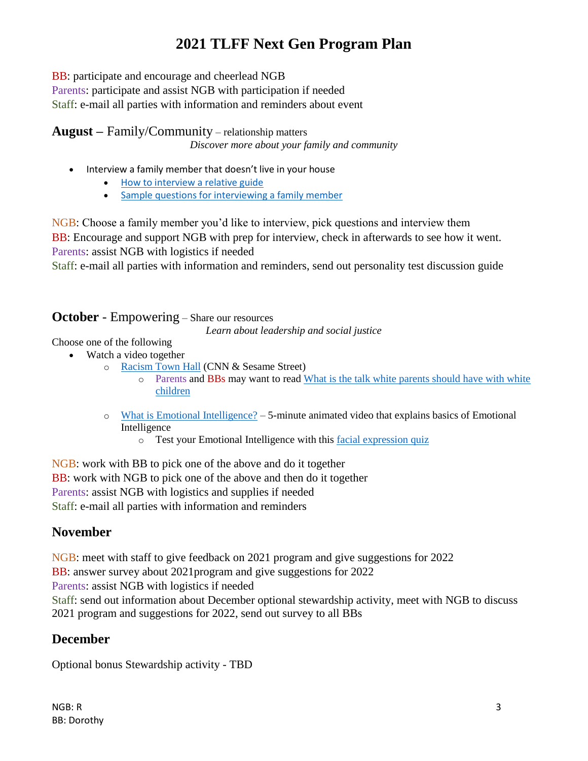BB: participate and encourage and cheerlead NGB Parents: participate and assist NGB with participation if needed Staff: e-mail all parties with information and reminders about event

**August –** Family/Community – relationship matters *Discover more about your family and community*

- Interview a family member that doesn't live in your house
	- [How to interview a relative guide](http://www.readwritethink.org/files/resources/lesson_images/lesson805/interview.pdf)
	- [Sample questions for interviewing a family member](https://rulethisroost.com/65-interview-questions-ask-parents/)

NGB: Choose a family member you'd like to interview, pick questions and interview them BB: Encourage and support NGB with prep for interview, check in afterwards to see how it went. Parents: assist NGB with logistics if needed

Staff: e-mail all parties with information and reminders, send out personality test discussion guide

## **October** - Empowering – Share our resources

*Learn about leadership and social justice*

Choose one of the following

- Watch a video together
	- o [Racism Town Hall](https://www.cnn.com/2020/06/06/app-news-section/cnn-sesame-street-race-town-hall-app-june-6-2020-app/index.html) (CNN & Sesame Street)
		- o Parents and BBs may want to read [What is the talk white parents should have with white](https://www.embracerace.org/resources/what-is-the-talk-white-parents-should-have-with-white-children)  [children](https://www.embracerace.org/resources/what-is-the-talk-white-parents-should-have-with-white-children)
	- $\circ$  [What is Emotional Intelligence?](https://www.youtube.com/watch?v=LgUCyWhJf6s&t=246s) 5-minute animated video that explains basics of Emotional Intelligence
		- o Test your Emotional Intelligence with this [facial expression quiz](https://greatergood.berkeley.edu/quizzes/ei_quiz)

NGB: work with BB to pick one of the above and do it together BB: work with NGB to pick one of the above and then do it together Parents: assist NGB with logistics and supplies if needed Staff: e-mail all parties with information and reminders

## **November**

NGB: meet with staff to give feedback on 2021 program and give suggestions for 2022 BB: answer survey about 2021program and give suggestions for 2022 Parents: assist NGB with logistics if needed Staff: send out information about December optional stewardship activity, meet with NGB to discuss 2021 program and suggestions for 2022, send out survey to all BBs

## **December**

Optional bonus Stewardship activity - TBD